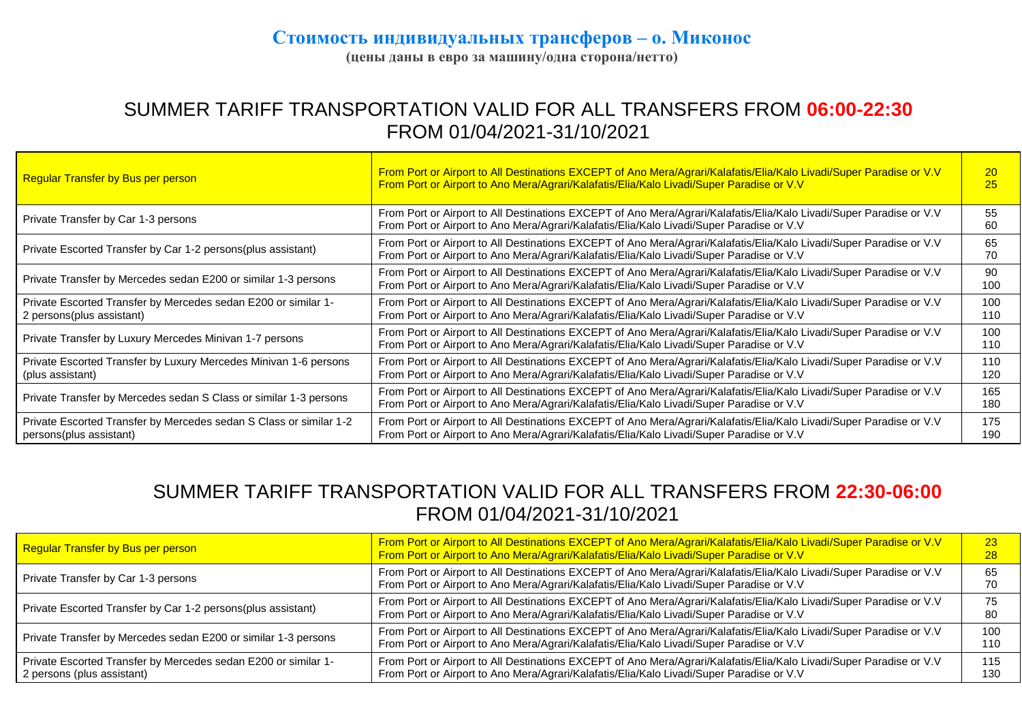## **Стоимость индивидуальных трансферов – о. Миконос**

**(цены даны в евро за машину/одна сторона/нетто)**

## SUMMER TARIFF TRANSPORTATION VALID FOR ALL TRANSFERS FROM **06:00-22:30** FROM 01/04/2021-31/10/2021

| <b>Regular Transfer by Bus per person</b>                                                     | From Port or Airport to All Destinations EXCEPT of Ano Mera/Agrari/Kalafatis/Elia/Kalo Livadi/Super Paradise or V.V<br>From Port or Airport to Ano Mera/Agrari/Kalafatis/Elia/Kalo Livadi/Super Paradise or V.V | 20<br>25   |
|-----------------------------------------------------------------------------------------------|-----------------------------------------------------------------------------------------------------------------------------------------------------------------------------------------------------------------|------------|
| Private Transfer by Car 1-3 persons                                                           | From Port or Airport to All Destinations EXCEPT of Ano Mera/Agrari/Kalafatis/Elia/Kalo Livadi/Super Paradise or V.V<br>From Port or Airport to Ano Mera/Agrari/Kalafatis/Elia/Kalo Livadi/Super Paradise or V.V | 55<br>60   |
| Private Escorted Transfer by Car 1-2 persons (plus assistant)                                 | From Port or Airport to All Destinations EXCEPT of Ano Mera/Agrari/Kalafatis/Elia/Kalo Livadi/Super Paradise or V.V<br>From Port or Airport to Ano Mera/Agrari/Kalafatis/Elia/Kalo Livadi/Super Paradise or V.V | 65<br>70   |
| Private Transfer by Mercedes sedan E200 or similar 1-3 persons                                | From Port or Airport to All Destinations EXCEPT of Ano Mera/Agrari/Kalafatis/Elia/Kalo Livadi/Super Paradise or V.V<br>From Port or Airport to Ano Mera/Agrari/Kalafatis/Elia/Kalo Livadi/Super Paradise or V.V | 90<br>100  |
| Private Escorted Transfer by Mercedes sedan E200 or similar 1-<br>2 persons(plus assistant)   | From Port or Airport to All Destinations EXCEPT of Ano Mera/Agrari/Kalafatis/Elia/Kalo Livadi/Super Paradise or V.V<br>From Port or Airport to Ano Mera/Agrari/Kalafatis/Elia/Kalo Livadi/Super Paradise or V.V | 100<br>110 |
| Private Transfer by Luxury Mercedes Minivan 1-7 persons                                       | From Port or Airport to All Destinations EXCEPT of Ano Mera/Agrari/Kalafatis/Elia/Kalo Livadi/Super Paradise or V.V<br>From Port or Airport to Ano Mera/Agrari/Kalafatis/Elia/Kalo Livadi/Super Paradise or V.V | 100<br>110 |
| Private Escorted Transfer by Luxury Mercedes Minivan 1-6 persons<br>(plus assistant)          | From Port or Airport to All Destinations EXCEPT of Ano Mera/Agrari/Kalafatis/Elia/Kalo Livadi/Super Paradise or V.V<br>From Port or Airport to Ano Mera/Agrari/Kalafatis/Elia/Kalo Livadi/Super Paradise or V.V | 110<br>120 |
| Private Transfer by Mercedes sedan S Class or similar 1-3 persons                             | From Port or Airport to All Destinations EXCEPT of Ano Mera/Agrari/Kalafatis/Elia/Kalo Livadi/Super Paradise or V.V<br>From Port or Airport to Ano Mera/Agrari/Kalafatis/Elia/Kalo Livadi/Super Paradise or V.V | 165<br>180 |
| Private Escorted Transfer by Mercedes sedan S Class or similar 1-2<br>persons(plus assistant) | From Port or Airport to All Destinations EXCEPT of Ano Mera/Agrari/Kalafatis/Elia/Kalo Livadi/Super Paradise or V.V<br>From Port or Airport to Ano Mera/Agrari/Kalafatis/Elia/Kalo Livadi/Super Paradise or V.V | 175<br>190 |

## SUMMER TARIFF TRANSPORTATION VALID FOR ALL TRANSFERS FROM **22:30-06:00** FROM 01/04/2021-31/10/2021

| Regular Transfer by Bus per person                                                           | From Port or Airport to All Destinations EXCEPT of Ano Mera/Agrari/Kalafatis/Elia/Kalo Livadi/Super Paradise or V.V<br>From Port or Airport to Ano Mera/Agrari/Kalafatis/Elia/Kalo Livadi/Super Paradise or V.V |            |
|----------------------------------------------------------------------------------------------|-----------------------------------------------------------------------------------------------------------------------------------------------------------------------------------------------------------------|------------|
| Private Transfer by Car 1-3 persons                                                          | From Port or Airport to All Destinations EXCEPT of Ano Mera/Agrari/Kalafatis/Elia/Kalo Livadi/Super Paradise or V.V<br>From Port or Airport to Ano Mera/Agrari/Kalafatis/Elia/Kalo Livadi/Super Paradise or V.V | 65         |
| Private Escorted Transfer by Car 1-2 persons(plus assistant)                                 | From Port or Airport to All Destinations EXCEPT of Ano Mera/Agrari/Kalafatis/Elia/Kalo Livadi/Super Paradise or V.V<br>From Port or Airport to Ano Mera/Agrari/Kalafatis/Elia/Kalo Livadi/Super Paradise or V.V | 80         |
| Private Transfer by Mercedes sedan E200 or similar 1-3 persons                               | From Port or Airport to All Destinations EXCEPT of Ano Mera/Agrari/Kalafatis/Elia/Kalo Livadi/Super Paradise or V.V<br>From Port or Airport to Ano Mera/Agrari/Kalafatis/Elia/Kalo Livadi/Super Paradise or V.V | 100<br>110 |
| Private Escorted Transfer by Mercedes sedan E200 or similar 1-<br>2 persons (plus assistant) | From Port or Airport to All Destinations EXCEPT of Ano Mera/Agrari/Kalafatis/Elia/Kalo Livadi/Super Paradise or V.V<br>From Port or Airport to Ano Mera/Agrari/Kalafatis/Elia/Kalo Livadi/Super Paradise or V.V | 115<br>130 |